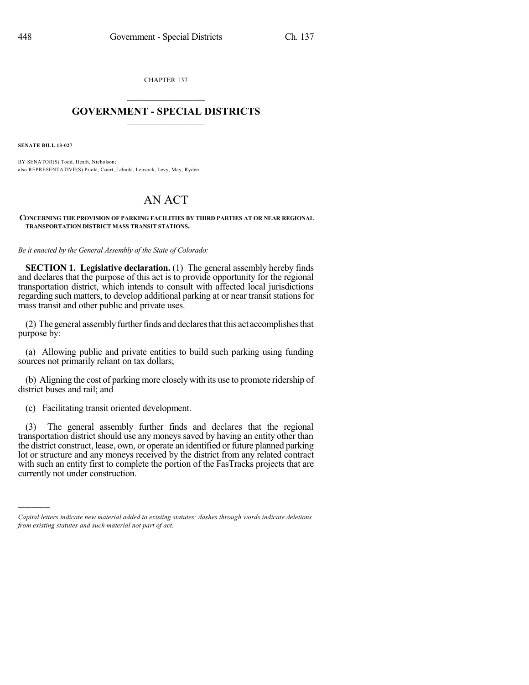CHAPTER 137  $\overline{\phantom{a}}$  . The set of the set of the set of the set of the set of the set of the set of the set of the set of the set of the set of the set of the set of the set of the set of the set of the set of the set of the set o

## **GOVERNMENT - SPECIAL DISTRICTS**  $\_$   $\_$

**SENATE BILL 13-027**

)))))

BY SENATOR(S) Todd, Heath, Nicholson; also REPRESENTATIVE(S) Priola, Court, Labuda, Lebsock, Levy, May, Ryden.

## AN ACT

## **CONCERNING THE PROVISION OF PARKING FACILITIES BY THIRD PARTIES AT OR NEAR REGIONAL TRANSPORTATION DISTRICT MASS TRANSIT STATIONS.**

*Be it enacted by the General Assembly of the State of Colorado:*

**SECTION 1. Legislative declaration.** (1) The general assembly hereby finds and declares that the purpose of this act is to provide opportunity for the regional transportation district, which intends to consult with affected local jurisdictions regarding such matters, to develop additional parking at or near transit stations for mass transit and other public and private uses.

(2) The general assembly further finds and declares that this act accomplishes that purpose by:

(a) Allowing public and private entities to build such parking using funding sources not primarily reliant on tax dollars;

(b) Aligning the cost of parking more closely with its use to promote ridership of district buses and rail; and

(c) Facilitating transit oriented development.

(3) The general assembly further finds and declares that the regional transportation district should use any moneys saved by having an entity other than the district construct, lease, own, or operate an identified or future planned parking lot or structure and any moneys received by the district from any related contract with such an entity first to complete the portion of the FasTracks projects that are currently not under construction.

*Capital letters indicate new material added to existing statutes; dashes through words indicate deletions from existing statutes and such material not part of act.*